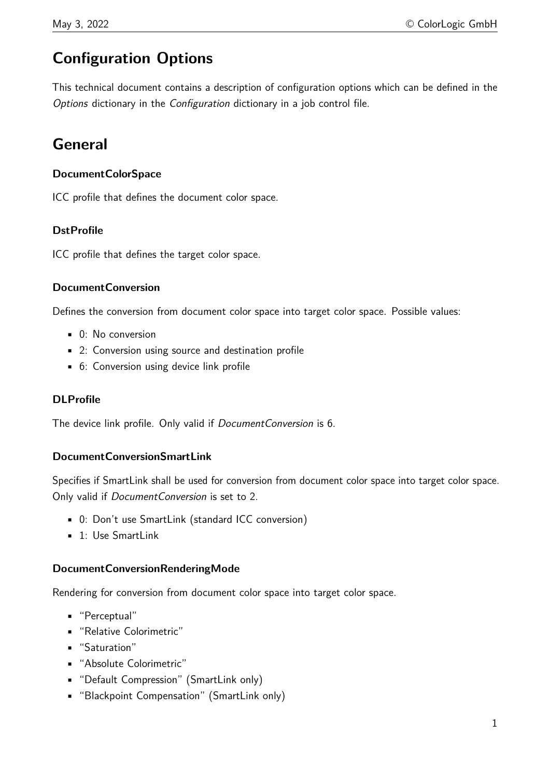# **Configuration Options**

This technical document contains a description of configuration options which can be defined in the Options dictionary in the Configuration dictionary in a job control file.

# **General**

### **DocumentColorSpace**

ICC profile that defines the document color space.

### **DstProfile**

ICC profile that defines the target color space.

### **DocumentConversion**

Defines the conversion from document color space into target color space. Possible values:

- 0: No conversion
- 2: Conversion using source and destination profile
- 6: Conversion using device link profile

### **DLProfile**

The device link profile. Only valid if *DocumentConversion* is 6.

### **DocumentConversionSmartLink**

Specifies if SmartLink shall be used for conversion from document color space into target color space. Only valid if DocumentConversion is set to 2.

- 0: Don't use SmartLink (standard ICC conversion)
- $\blacksquare$  1: Use SmartLink

### **DocumentConversionRenderingMode**

Rendering for conversion from document color space into target color space.

- "Perceptual"
- "Relative Colorimetric"
- "Saturation"
- "Absolute Colorimetric"
- "Default Compression" (SmartLink only)
- "Blackpoint Compensation" (SmartLink only)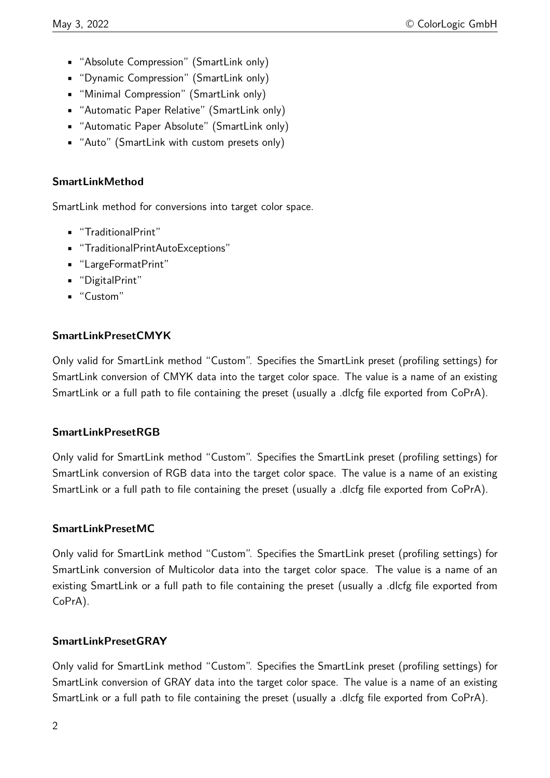- "Absolute Compression" (SmartLink only)
- "Dynamic Compression" (SmartLink only)
- "Minimal Compression" (SmartLink only)
- "Automatic Paper Relative" (SmartLink only)
- "Automatic Paper Absolute" (SmartLink only)
- "Auto" (SmartLink with custom presets only)

# **SmartLinkMethod**

SmartLink method for conversions into target color space.

- "TraditionalPrint"
- "TraditionalPrintAutoExceptions"
- "LargeFormatPrint"
- "DigitalPrint"
- "Custom"

## **SmartLinkPresetCMYK**

Only valid for SmartLink method "Custom". Specifies the SmartLink preset (profiling settings) for SmartLink conversion of CMYK data into the target color space. The value is a name of an existing SmartLink or a full path to file containing the preset (usually a .dlcfg file exported from CoPrA).

### **SmartLinkPresetRGB**

Only valid for SmartLink method "Custom". Specifies the SmartLink preset (profiling settings) for SmartLink conversion of RGB data into the target color space. The value is a name of an existing SmartLink or a full path to file containing the preset (usually a .dlcfg file exported from CoPrA).

### **SmartLinkPresetMC**

Only valid for SmartLink method "Custom". Specifies the SmartLink preset (profiling settings) for SmartLink conversion of Multicolor data into the target color space. The value is a name of an existing SmartLink or a full path to file containing the preset (usually a .dlcfg file exported from CoPrA).

### **SmartLinkPresetGRAY**

Only valid for SmartLink method "Custom". Specifies the SmartLink preset (profiling settings) for SmartLink conversion of GRAY data into the target color space. The value is a name of an existing SmartLink or a full path to file containing the preset (usually a .dlcfg file exported from CoPrA).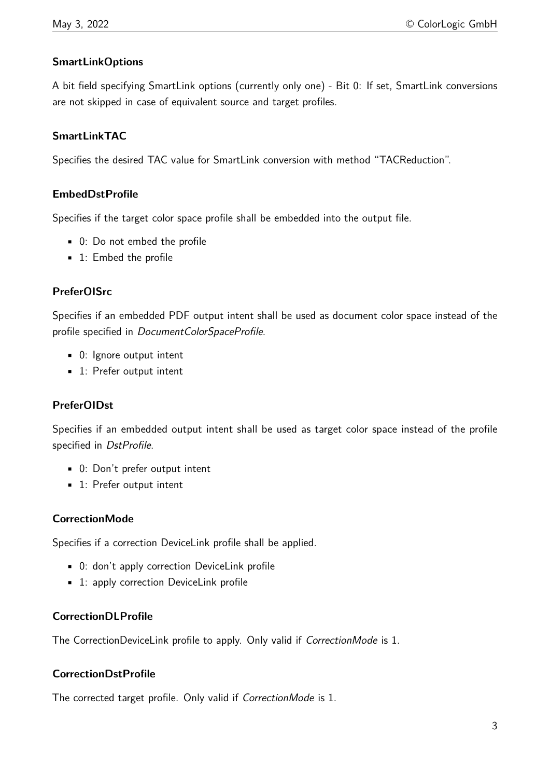# **SmartLinkOptions**

A bit field specifying SmartLink options (currently only one) - Bit 0: If set, SmartLink conversions are not skipped in case of equivalent source and target profiles.

### **SmartLinkTAC**

Specifies the desired TAC value for SmartLink conversion with method "TACReduction".

### **EmbedDstProfile**

Specifies if the target color space profile shall be embedded into the output file.

- 0: Do not embed the profile
- 1: Embed the profile

### **PreferOISrc**

Specifies if an embedded PDF output intent shall be used as document color space instead of the profile specified in DocumentColorSpaceProfile.

- 0: Ignore output intent
- 1: Prefer output intent

### **PreferOIDst**

Specifies if an embedded output intent shall be used as target color space instead of the profile specified in DstProfile.

- 0: Don't prefer output intent
- 1: Prefer output intent

### **CorrectionMode**

Specifies if a correction DeviceLink profile shall be applied.

- 0: don't apply correction DeviceLink profile
- 1: apply correction DeviceLink profile

### **CorrectionDLProfile**

The CorrectionDeviceLink profile to apply. Only valid if CorrectionMode is 1.

### **CorrectionDstProfile**

The corrected target profile. Only valid if CorrectionMode is 1.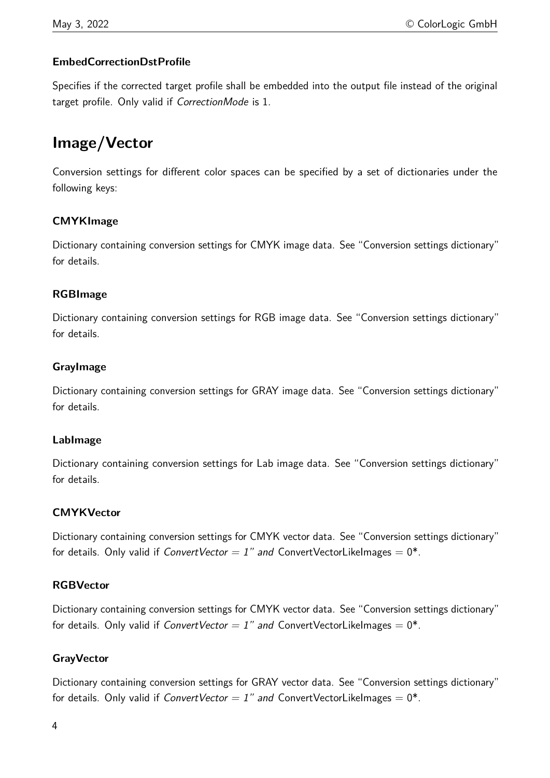# **EmbedCorrectionDstProfile**

Specifies if the corrected target profile shall be embedded into the output file instead of the original target profile. Only valid if CorrectionMode is 1.

# **Image/Vector**

Conversion settings for different color spaces can be specified by a set of dictionaries under the following keys:

## **CMYKImage**

Dictionary containing conversion settings for CMYK image data. See "Conversion settings dictionary" for details.

## **RGBImage**

Dictionary containing conversion settings for RGB image data. See "Conversion settings dictionary" for details.

## **GrayImage**

Dictionary containing conversion settings for GRAY image data. See "Conversion settings dictionary" for details.

### **LabImage**

Dictionary containing conversion settings for Lab image data. See "Conversion settings dictionary" for details.

### **CMYKVector**

Dictionary containing conversion settings for CMYK vector data. See "Conversion settings dictionary" for details. Only valid if ConvertVector = 1" and ConvertVectorLikeImages =  $0^*$ .

### **RGBVector**

Dictionary containing conversion settings for CMYK vector data. See "Conversion settings dictionary" for details. Only valid if ConvertVector = 1" and ConvertVectorLikeImages =  $0^*$ .

# **GrayVector**

Dictionary containing conversion settings for GRAY vector data. See "Conversion settings dictionary" for details. Only valid if ConvertVector = 1" and ConvertVectorLikeImages =  $0^*$ .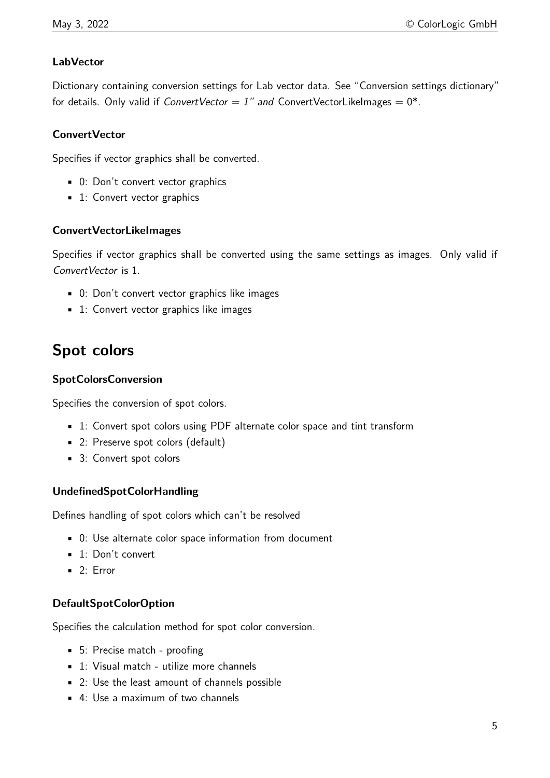## **LabVector**

Dictionary containing conversion settings for Lab vector data. See "Conversion settings dictionary" for details. Only valid if ConvertVector = 1" and ConvertVectorLikeImages =  $0^*$ .

### **ConvertVector**

Specifies if vector graphics shall be converted.

- 0: Don't convert vector graphics
- 1: Convert vector graphics

### **ConvertVectorLikeImages**

Specifies if vector graphics shall be converted using the same settings as images. Only valid if ConvertVector is 1.

- 0: Don't convert vector graphics like images
- 1: Convert vector graphics like images

# **Spot colors**

### **SpotColorsConversion**

Specifies the conversion of spot colors.

- 1: Convert spot colors using PDF alternate color space and tint transform
- 2: Preserve spot colors (default)
- 3: Convert spot colors

### **UndefinedSpotColorHandling**

Defines handling of spot colors which can't be resolved

- 0: Use alternate color space information from document
- 1: Don't convert
- $-2$ : Error

### **DefaultSpotColorOption**

Specifies the calculation method for spot color conversion.

- 5: Precise match proofing
- 1: Visual match utilize more channels
- 2: Use the least amount of channels possible
- $\blacksquare$  4: Use a maximum of two channels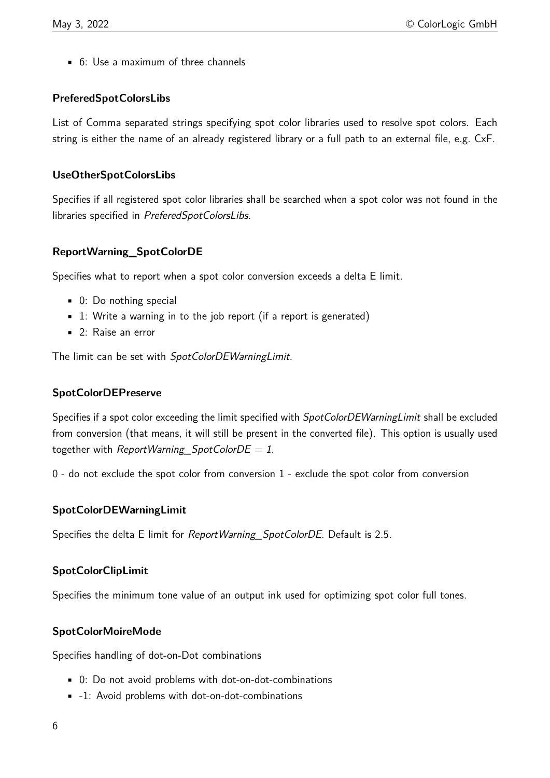• 6: Use a maximum of three channels

### **PreferedSpotColorsLibs**

List of Comma separated strings specifying spot color libraries used to resolve spot colors. Each string is either the name of an already registered library or a full path to an external file, e.g. CxF.

### **UseOtherSpotColorsLibs**

Specifies if all registered spot color libraries shall be searched when a spot color was not found in the libraries specified in PreferedSpotColorsLibs.

## **ReportWarning\_SpotColorDE**

Specifies what to report when a spot color conversion exceeds a delta E limit.

- 0: Do nothing special
- $\blacksquare$  1: Write a warning in to the job report (if a report is generated)
- 2: Raise an error

The limit can be set with SpotColorDEWarningLimit.

# **SpotColorDEPreserve**

Specifies if a spot color exceeding the limit specified with *SpotColorDEWarningLimit* shall be excluded from conversion (that means, it will still be present in the converted file). This option is usually used together with ReportWarning SpotColorDE = 1.

0 - do not exclude the spot color from conversion 1 - exclude the spot color from conversion

### **SpotColorDEWarningLimit**

Specifies the delta E limit for ReportWarning\_SpotColorDE. Default is 2.5.

# **SpotColorClipLimit**

Specifies the minimum tone value of an output ink used for optimizing spot color full tones.

### **SpotColorMoireMode**

Specifies handling of dot-on-Dot combinations

- 0: Do not avoid problems with dot-on-dot-combinations
- -1: Avoid problems with dot-on-dot-combinations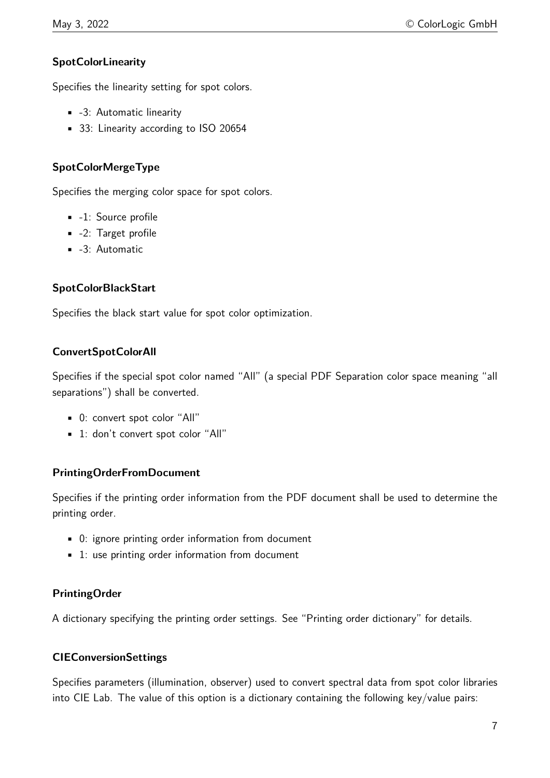# **SpotColorLinearity**

Specifies the linearity setting for spot colors.

- -3: Automatic linearity
- 33: Linearity according to ISO 20654

### **SpotColorMergeType**

Specifies the merging color space for spot colors.

- -1: Source profile
- -2: Target profile
- -3: Automatic

## **SpotColorBlackStart**

Specifies the black start value for spot color optimization.

## **ConvertSpotColorAll**

Specifies if the special spot color named "All" (a special PDF Separation color space meaning "all separations") shall be converted.

- 0: convert spot color "All"
- 1: don't convert spot color "All"

### **PrintingOrderFromDocument**

Specifies if the printing order information from the PDF document shall be used to determine the printing order.

- 0: ignore printing order information from document
- 1: use printing order information from document

### **PrintingOrder**

A dictionary specifying the printing order settings. See "Printing order dictionary" for details.

### **CIEConversionSettings**

Specifies parameters (illumination, observer) used to convert spectral data from spot color libraries into CIE Lab. The value of this option is a dictionary containing the following key/value pairs: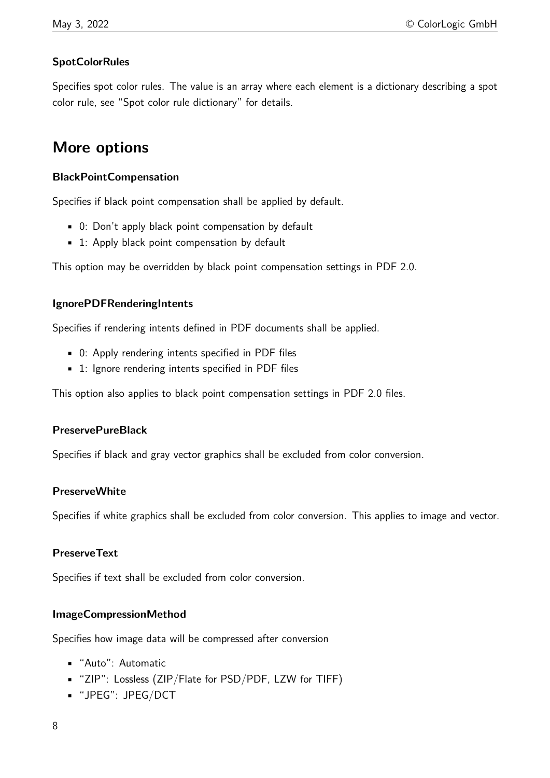# **SpotColorRules**

Specifies spot color rules. The value is an array where each element is a dictionary describing a spot color rule, see "Spot color rule dictionary" for details.

# **More options**

### **BlackPointCompensation**

Specifies if black point compensation shall be applied by default.

- 0: Don't apply black point compensation by default
- 1: Apply black point compensation by default

This option may be overridden by black point compensation settings in PDF 2.0.

## **IgnorePDFRenderingIntents**

Specifies if rendering intents defined in PDF documents shall be applied.

- 0: Apply rendering intents specified in PDF files
- 1: Ignore rendering intents specified in PDF files

This option also applies to black point compensation settings in PDF 2.0 files.

### **PreservePureBlack**

Specifies if black and gray vector graphics shall be excluded from color conversion.

### **PreserveWhite**

Specifies if white graphics shall be excluded from color conversion. This applies to image and vector.

### **PreserveText**

Specifies if text shall be excluded from color conversion.

### **ImageCompressionMethod**

Specifies how image data will be compressed after conversion

- "Auto": Automatic
- "ZIP": Lossless (ZIP/Flate for PSD/PDF, LZW for TIFF)
- "JPEG": JPEG/DCT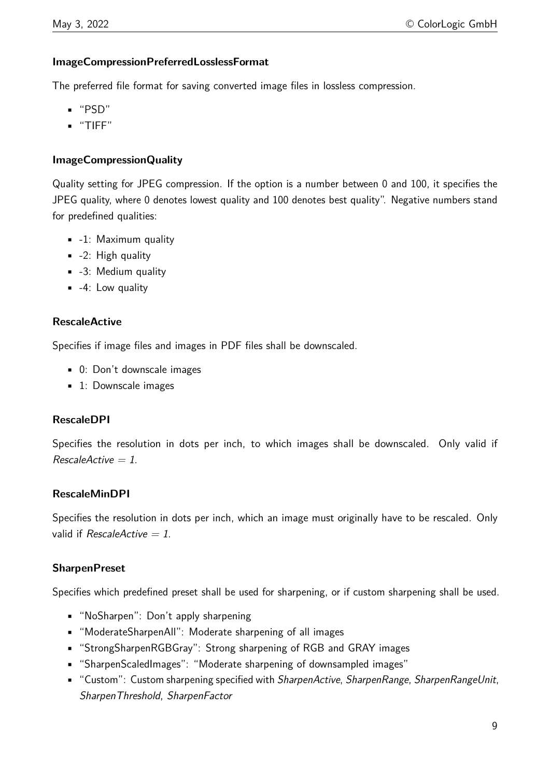### **ImageCompressionPreferredLosslessFormat**

The preferred file format for saving converted image files in lossless compression.

- "PSD"
- "TIFF"

## **ImageCompressionQuality**

Quality setting for JPEG compression. If the option is a number between 0 and 100, it specifies the JPEG quality, where 0 denotes lowest quality and 100 denotes best quality". Negative numbers stand for predefined qualities:

- -1: Maximum quality
- $-2$ : High quality
- -3: Medium quality
- $-4$ : Low quality

### **RescaleActive**

Specifies if image files and images in PDF files shall be downscaled.

- 0: Don't downscale images
- 1: Downscale images

### **RescaleDPI**

Specifies the resolution in dots per inch, to which images shall be downscaled. Only valid if  $RescaleActive = 1.$ 

### **RescaleMinDPI**

Specifies the resolution in dots per inch, which an image must originally have to be rescaled. Only valid if RescaleActive  $= 1$ .

### **SharpenPreset**

Specifies which predefined preset shall be used for sharpening, or if custom sharpening shall be used.

- "NoSharpen": Don't apply sharpening
- "ModerateSharpenAll": Moderate sharpening of all images
- "StrongSharpenRGBGray": Strong sharpening of RGB and GRAY images
- "SharpenScaledImages": "Moderate sharpening of downsampled images"
- "Custom": Custom sharpening specified with *SharpenActive, SharpenRange, SharpenRangeUnit,* SharpenThreshold, SharpenFactor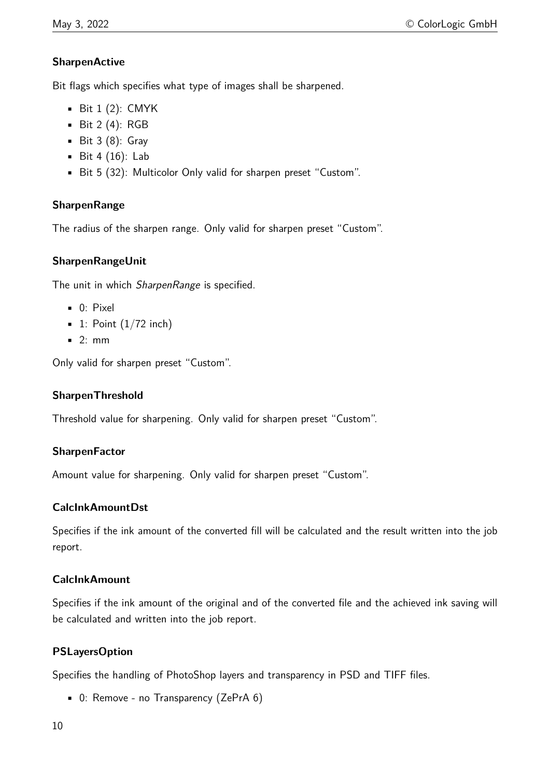# **SharpenActive**

Bit flags which specifies what type of images shall be sharpened.

- $\blacksquare$  Bit 1 (2): CMYK
- Bit  $2(4)$ : RGB
- $\blacksquare$  Bit 3 (8): Gray
- $–$  Bit 4 (16): Lab
- Bit 5 (32): Multicolor Only valid for sharpen preset "Custom".

# **SharpenRange**

The radius of the sharpen range. Only valid for sharpen preset "Custom".

# **SharpenRangeUnit**

The unit in which SharpenRange is specified.

- 0: Pixel
- $\blacksquare$  1: Point  $(1/72 \text{ inch})$
- 2: mm

Only valid for sharpen preset "Custom".

### **SharpenThreshold**

Threshold value for sharpening. Only valid for sharpen preset "Custom".

### **SharpenFactor**

Amount value for sharpening. Only valid for sharpen preset "Custom".

### **CalcInkAmountDst**

Specifies if the ink amount of the converted fill will be calculated and the result written into the job report.

### **CalcInkAmount**

Specifies if the ink amount of the original and of the converted file and the achieved ink saving will be calculated and written into the job report.

# **PSLayersOption**

Specifies the handling of PhotoShop layers and transparency in PSD and TIFF files.

• 0: Remove - no Transparency (ZePrA 6)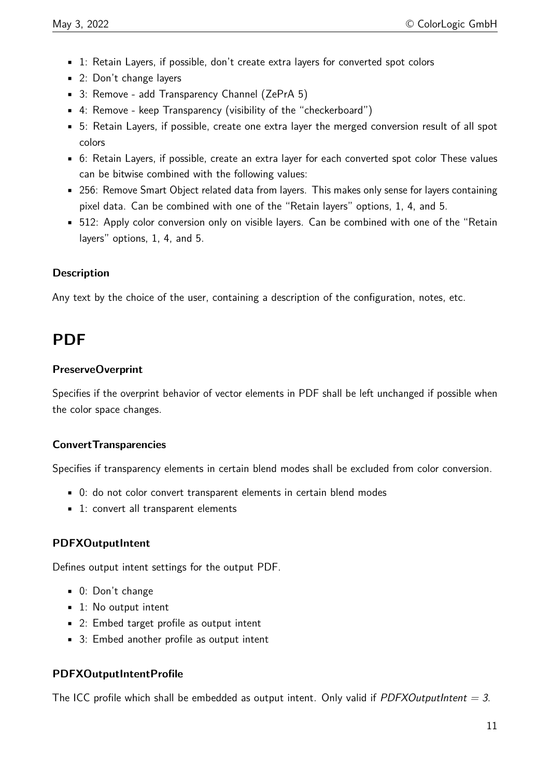- 1: Retain Layers, if possible, don't create extra layers for converted spot colors
- 2: Don't change layers
- 3: Remove add Transparency Channel (ZePrA 5)
- 4: Remove keep Transparency (visibility of the "checkerboard")
- 5: Retain Layers, if possible, create one extra layer the merged conversion result of all spot colors
- 6: Retain Layers, if possible, create an extra layer for each converted spot color These values can be bitwise combined with the following values:
- 256: Remove Smart Object related data from layers. This makes only sense for layers containing pixel data. Can be combined with one of the "Retain layers" options, 1, 4, and 5.
- 512: Apply color conversion only on visible layers. Can be combined with one of the "Retain layers" options, 1, 4, and 5.

# **Description**

Any text by the choice of the user, containing a description of the configuration, notes, etc.

# **PDF**

## **PreserveOverprint**

Specifies if the overprint behavior of vector elements in PDF shall be left unchanged if possible when the color space changes.

# **ConvertTransparencies**

Specifies if transparency elements in certain blend modes shall be excluded from color conversion.

- 0: do not color convert transparent elements in certain blend modes
- 1: convert all transparent elements

# **PDFXOutputIntent**

Defines output intent settings for the output PDF.

- 0: Don't change
- 1: No output intent
- 2: Embed target profile as output intent
- 3: Embed another profile as output intent

# **PDFXOutputIntentProfile**

The ICC profile which shall be embedded as output intent. Only valid if *PDFXOutputIntent = 3.*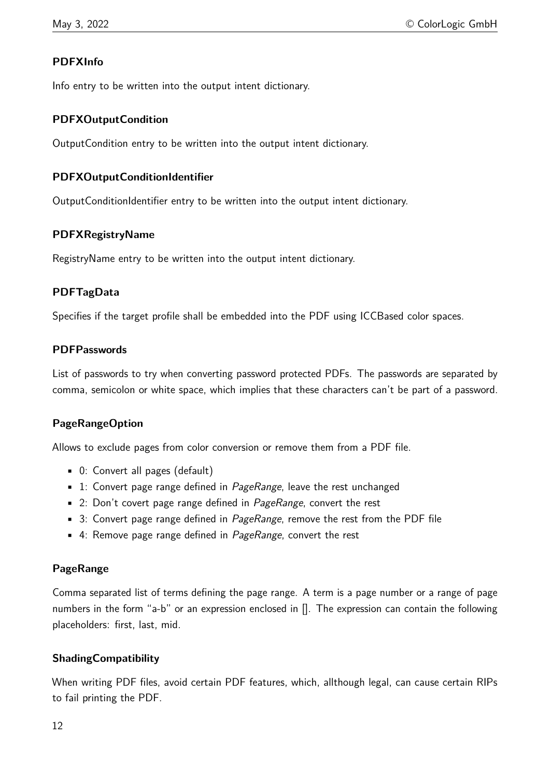# **PDFXInfo**

Info entry to be written into the output intent dictionary.

### **PDFXOutputCondition**

OutputCondition entry to be written into the output intent dictionary.

### **PDFXOutputConditionIdentifier**

OutputConditionIdentifier entry to be written into the output intent dictionary.

### **PDFXRegistryName**

RegistryName entry to be written into the output intent dictionary.

### **PDFTagData**

Specifies if the target profile shall be embedded into the PDF using ICCBased color spaces.

### **PDFPasswords**

List of passwords to try when converting password protected PDFs. The passwords are separated by comma, semicolon or white space, which implies that these characters can't be part of a password.

### **PageRangeOption**

Allows to exclude pages from color conversion or remove them from a PDF file.

- 0: Convert all pages (default)
- $\blacksquare$  1: Convert page range defined in *PageRange*, leave the rest unchanged
- 2: Don't covert page range defined in *PageRange*, convert the rest
- 3: Convert page range defined in *PageRange*, remove the rest from the PDF file
- $\blacksquare$  4: Remove page range defined in *PageRange*, convert the rest

### **PageRange**

Comma separated list of terms defining the page range. A term is a page number or a range of page numbers in the form "a-b" or an expression enclosed in []. The expression can contain the following placeholders: first, last, mid.

### **ShadingCompatibility**

When writing PDF files, avoid certain PDF features, which, allthough legal, can cause certain RIPs to fail printing the PDF.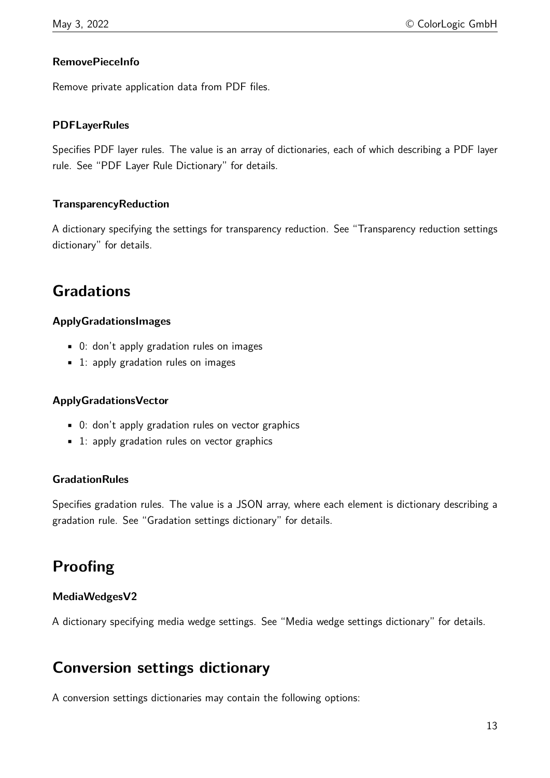## **RemovePieceInfo**

Remove private application data from PDF files.

### **PDFLayerRules**

Specifies PDF layer rules. The value is an array of dictionaries, each of which describing a PDF layer rule. See "PDF Layer Rule Dictionary" for details.

### **TransparencyReduction**

A dictionary specifying the settings for transparency reduction. See "Transparency reduction settings dictionary" for details.

# **Gradations**

### **ApplyGradationsImages**

- 0: don't apply gradation rules on images
- 1: apply gradation rules on images

### **ApplyGradationsVector**

- 0: don't apply gradation rules on vector graphics
- 1: apply gradation rules on vector graphics

### **GradationRules**

Specifies gradation rules. The value is a JSON array, where each element is dictionary describing a gradation rule. See "Gradation settings dictionary" for details.

# **Proofing**

### **MediaWedgesV2**

A dictionary specifying media wedge settings. See "Media wedge settings dictionary" for details.

# **Conversion settings dictionary**

A conversion settings dictionaries may contain the following options: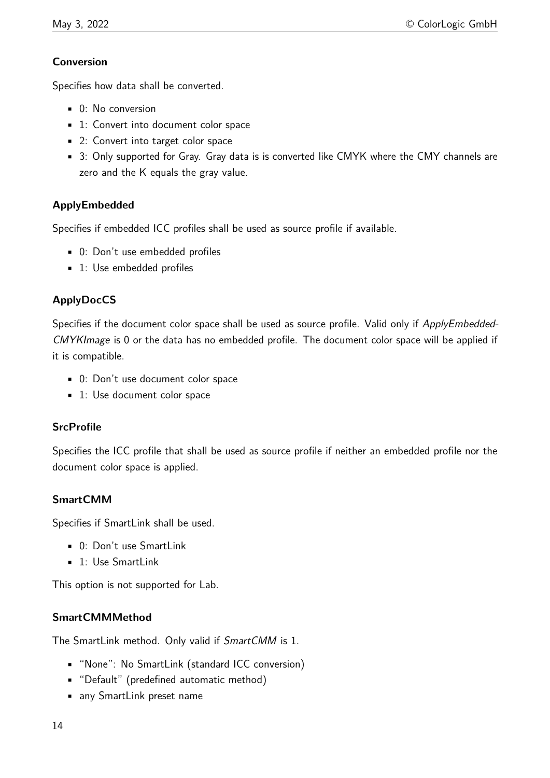### **Conversion**

Specifies how data shall be converted.

- 0: No conversion
- 1: Convert into document color space
- 2: Convert into target color space
- 3: Only supported for Gray. Gray data is is converted like CMYK where the CMY channels are zero and the K equals the gray value.

# **ApplyEmbedded**

Specifies if embedded ICC profiles shall be used as source profile if available.

- 0: Don't use embedded profiles
- 1: Use embedded profiles

# **ApplyDocCS**

Specifies if the document color space shall be used as source profile. Valid only if ApplyEmbedded-CMYKImage is 0 or the data has no embedded profile. The document color space will be applied if it is compatible.

- 0: Don't use document color space
- 1: Use document color space

# **SrcProfile**

Specifies the ICC profile that shall be used as source profile if neither an embedded profile nor the document color space is applied.

# **SmartCMM**

Specifies if SmartLink shall be used.

- 0: Don't use SmartLink
- 1: Use SmartLink

This option is not supported for Lab.

# **SmartCMMMethod**

The SmartLink method. Only valid if SmartCMM is 1.

- "None": No SmartLink (standard ICC conversion)
- "Default" (predefined automatic method)
- any SmartLink preset name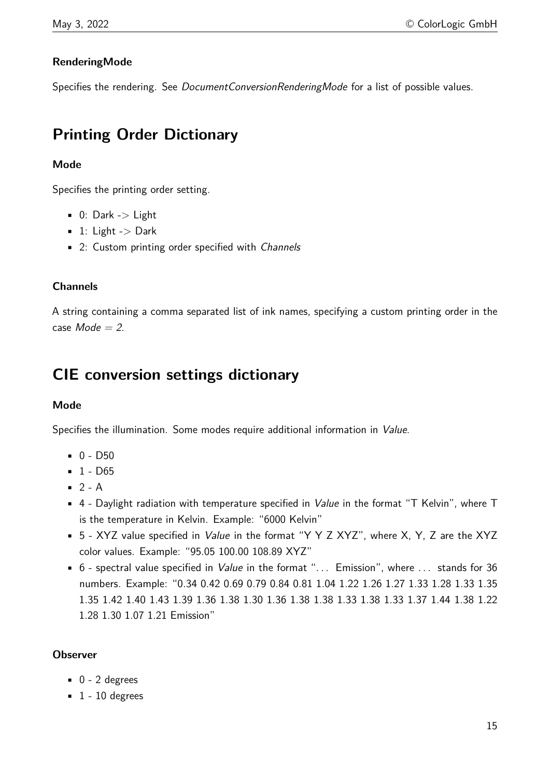# **RenderingMode**

Specifies the rendering. See *DocumentConversionRenderingMode* for a list of possible values.

# **Printing Order Dictionary**

## **Mode**

Specifies the printing order setting.

- $\blacksquare$  0: Dark -> Light
- $\blacksquare$  1: Light -> Dark
- 2: Custom printing order specified with Channels

## **Channels**

A string containing a comma separated list of ink names, specifying a custom printing order in the case  $Mode = 2$ .

# **CIE conversion settings dictionary**

### **Mode**

Specifies the illumination. Some modes require additional information in Value.

- 0 D50
- $-1 D65$
- $-2 A$
- 4 Daylight radiation with temperature specified in *Value* in the format "T Kelvin", where T is the temperature in Kelvin. Example: "6000 Kelvin"
- 5 XYZ value specified in *Value* in the format "Y Y Z XYZ", where X, Y, Z are the XYZ color values. Example: "95.05 100.00 108.89 XYZ"
- 6 spectral value specified in *Value* in the format "... Emission", where ... stands for 36 numbers. Example: "0.34 0.42 0.69 0.79 0.84 0.81 1.04 1.22 1.26 1.27 1.33 1.28 1.33 1.35 1.35 1.42 1.40 1.43 1.39 1.36 1.38 1.30 1.36 1.38 1.38 1.33 1.38 1.33 1.37 1.44 1.38 1.22 1.28 1.30 1.07 1.21 Emission"

### **Observer**

- $\bullet$  0 2 degrees
- $\blacksquare$  1 10 degrees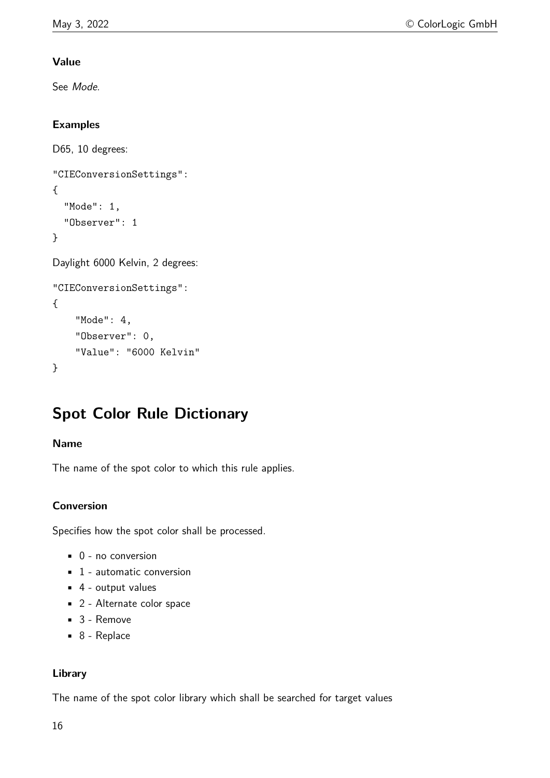# **Value**

See Mode.

# **Examples**

```
D65, 10 degrees:
"CIEConversionSettings":
{
  "Mode": 1,
  "Observer": 1
}
Daylight 6000 Kelvin, 2 degrees:
"CIEConversionSettings":
{
    "Mode": 4,
    "Observer": 0,
    "Value": "6000 Kelvin"
}
```
# **Spot Color Rule Dictionary**

### **Name**

The name of the spot color to which this rule applies.

### **Conversion**

Specifies how the spot color shall be processed.

- $\bullet$  0 no conversion
- $\blacksquare$  1 automatic conversion
- 4 output values
- 2 Alternate color space
- 3 Remove
- 8 Replace

### **Library**

The name of the spot color library which shall be searched for target values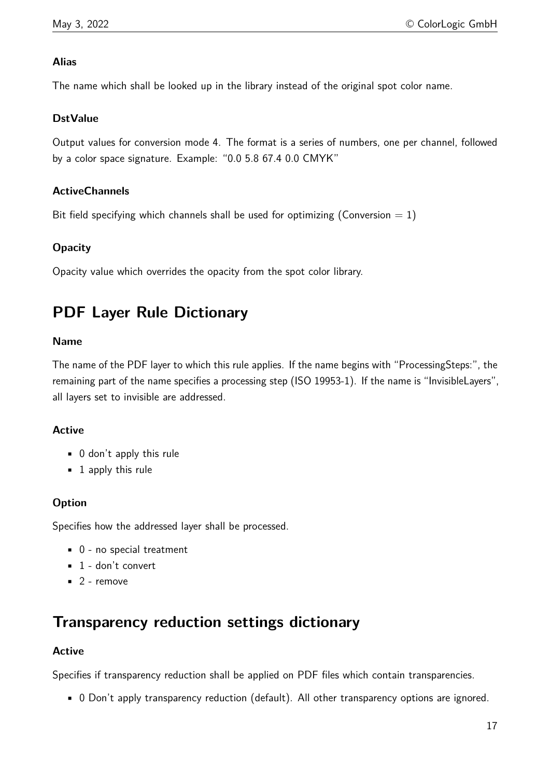### **Alias**

The name which shall be looked up in the library instead of the original spot color name.

### **DstValue**

Output values for conversion mode 4. The format is a series of numbers, one per channel, followed by a color space signature. Example: "0.0 5.8 67.4 0.0 CMYK"

### **ActiveChannels**

Bit field specifying which channels shall be used for optimizing (Conversion  $= 1$ )

### **Opacity**

Opacity value which overrides the opacity from the spot color library.

# **PDF Layer Rule Dictionary**

### **Name**

The name of the PDF layer to which this rule applies. If the name begins with "ProcessingSteps:", the remaining part of the name specifies a processing step (ISO 19953-1). If the name is "InvisibleLayers", all layers set to invisible are addressed.

### **Active**

- 0 don't apply this rule
- 1 apply this rule

### **Option**

Specifies how the addressed layer shall be processed.

- 0 no special treatment
- $\blacksquare$  1 don't convert
- $\blacksquare$  2 remove

# **Transparency reduction settings dictionary**

### **Active**

Specifies if transparency reduction shall be applied on PDF files which contain transparencies.

• 0 Don't apply transparency reduction (default). All other transparency options are ignored.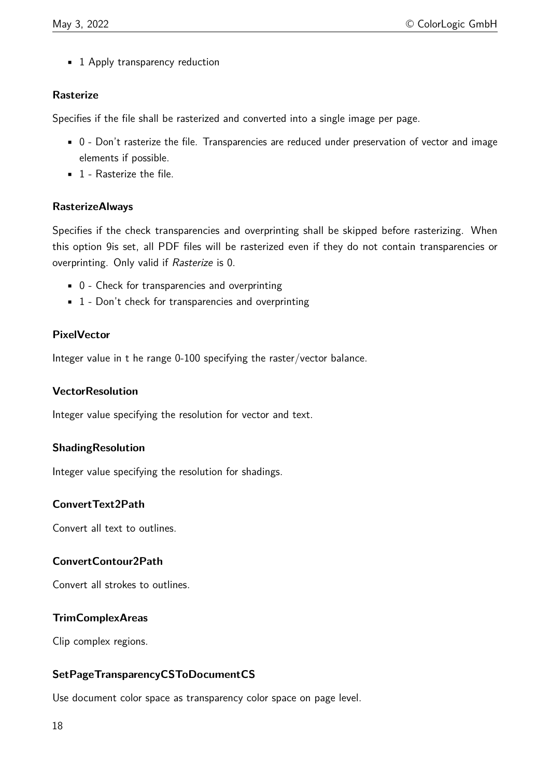• 1 Apply transparency reduction

### **Rasterize**

Specifies if the file shall be rasterized and converted into a single image per page.

- 0 Don't rasterize the file. Transparencies are reduced under preservation of vector and image elements if possible.
- 1 Rasterize the file.

### **RasterizeAlways**

Specifies if the check transparencies and overprinting shall be skipped before rasterizing. When this option 9is set, all PDF files will be rasterized even if they do not contain transparencies or overprinting. Only valid if Rasterize is 0.

- 0 Check for transparencies and overprinting
- 1 Don't check for transparencies and overprinting

# **PixelVector**

Integer value in t he range 0-100 specifying the raster/vector balance.

### **VectorResolution**

Integer value specifying the resolution for vector and text.

### **ShadingResolution**

Integer value specifying the resolution for shadings.

### **ConvertText2Path**

Convert all text to outlines.

### **ConvertContour2Path**

Convert all strokes to outlines.

### **TrimComplexAreas**

Clip complex regions.

# **SetPageTransparencyCSToDocumentCS**

Use document color space as transparency color space on page level.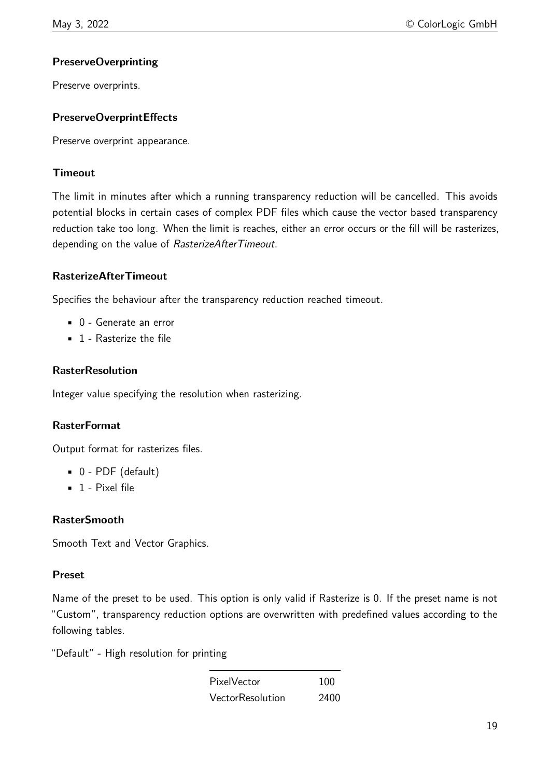# **PreserveOverprinting**

Preserve overprints.

### **PreserveOverprintEffects**

Preserve overprint appearance.

### **Timeout**

The limit in minutes after which a running transparency reduction will be cancelled. This avoids potential blocks in certain cases of complex PDF files which cause the vector based transparency reduction take too long. When the limit is reaches, either an error occurs or the fill will be rasterizes, depending on the value of RasterizeAfterTimeout.

### **RasterizeAfterTimeout**

Specifies the behaviour after the transparency reduction reached timeout.

- 0 Generate an error
- 1 Rasterize the file

### **RasterResolution**

Integer value specifying the resolution when rasterizing.

### **RasterFormat**

Output format for rasterizes files.

- 0 PDF (default)
- $\blacksquare$  1 Pixel file

### **RasterSmooth**

Smooth Text and Vector Graphics.

### **Preset**

Name of the preset to be used. This option is only valid if Rasterize is 0. If the preset name is not "Custom", transparency reduction options are overwritten with predefined values according to the following tables.

"Default" - High resolution for printing

| PixelVector             | 100  |
|-------------------------|------|
| <b>VectorResolution</b> | 2400 |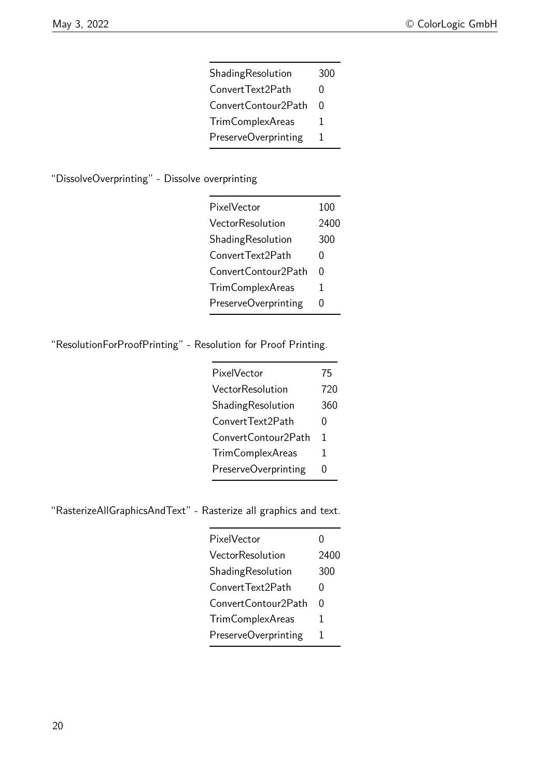| ShadingResolution       | 300 |
|-------------------------|-----|
| ConvertText2Path        | O   |
| ConvertContour2Path     | O   |
| <b>TrimComplexAreas</b> | 1   |
| PreserveOverprinting    | 1   |

# "DissolveOverprinting" - Dissolve overprinting

| PixelVector             | 100  |
|-------------------------|------|
| VectorResolution        | 2400 |
| ShadingResolution       | 300  |
| ConvertText2Path        | 0    |
| Convert Contour 2 Path  | 0    |
| <b>TrimComplexAreas</b> | 1    |
| PreserveOverprinting    | 0    |

# "ResolutionForProofPrinting" - Resolution for Proof Printing.

| PixelVector             | 75  |
|-------------------------|-----|
| VectorResolution        | 720 |
| ShadingResolution       | 360 |
| ConvertText2Path        | 0   |
| ConvertContour2Path     | 1   |
| <b>TrimComplexAreas</b> | 1   |
| PreserveOverprinting    | 0   |

"RasterizeAllGraphicsAndText" - Rasterize all graphics and text.

| PixelVector             | 0    |
|-------------------------|------|
| VectorResolution        | 2400 |
| ShadingResolution       | 300  |
| ConvertText2Path        | 0    |
| ConvertContour2Path     | U    |
| <b>TrimComplexAreas</b> | 1    |
| PreserveOverprinting    | 1    |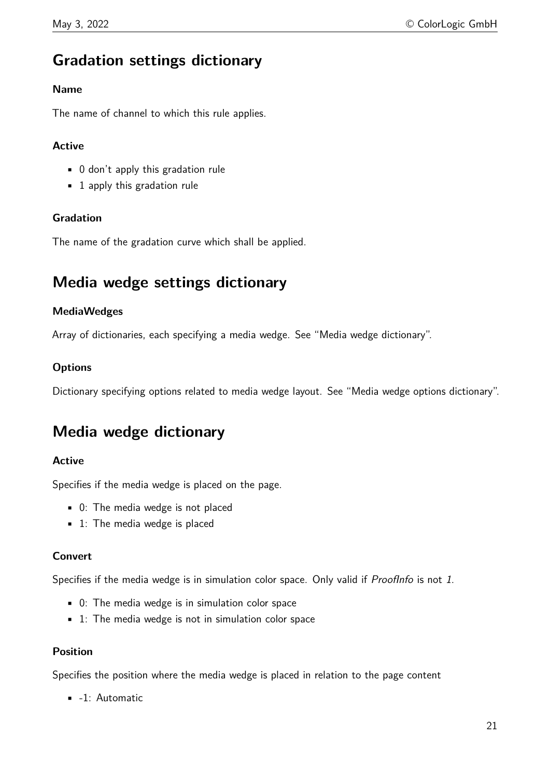# **Gradation settings dictionary**

### **Name**

The name of channel to which this rule applies.

### **Active**

- 0 don't apply this gradation rule
- 1 apply this gradation rule

### **Gradation**

The name of the gradation curve which shall be applied.

# **Media wedge settings dictionary**

### **MediaWedges**

Array of dictionaries, each specifying a media wedge. See "Media wedge dictionary".

### **Options**

Dictionary specifying options related to media wedge layout. See "Media wedge options dictionary".

# **Media wedge dictionary**

### **Active**

Specifies if the media wedge is placed on the page.

- 0: The media wedge is not placed
- 1: The media wedge is placed

### **Convert**

Specifies if the media wedge is in simulation color space. Only valid if *ProofInfo* is not 1.

- 0: The media wedge is in simulation color space
- 1: The media wedge is not in simulation color space

### **Position**

Specifies the position where the media wedge is placed in relation to the page content

• -1: Automatic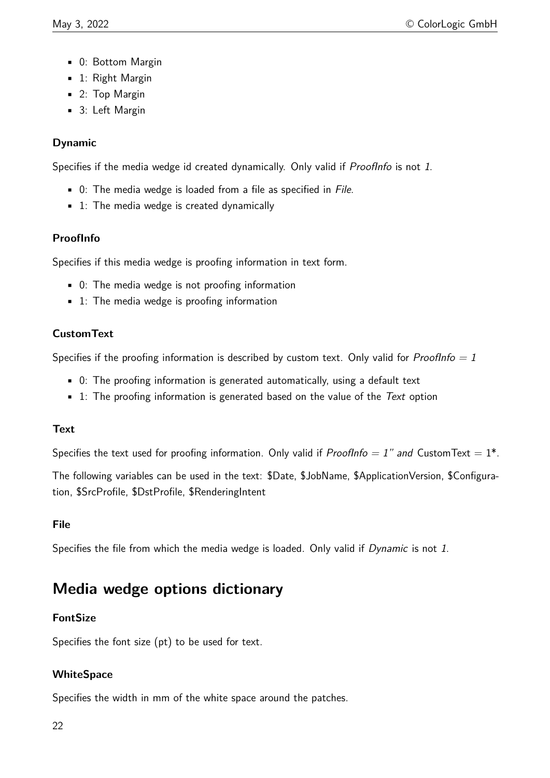- 0: Bottom Margin
- **·** 1: Right Margin
- 2: Top Margin
- 3: Left Margin

# **Dynamic**

Specifies if the media wedge id created dynamically. Only valid if *ProofInfo* is not 1.

- 0: The media wedge is loaded from a file as specified in File.
- 1: The media wedge is created dynamically

# **ProofInfo**

Specifies if this media wedge is proofing information in text form.

- 0: The media wedge is not proofing information
- 1: The media wedge is proofing information

# **CustomText**

Specifies if the proofing information is described by custom text. Only valid for *ProofInfo = 1* 

- 0: The proofing information is generated automatically, using a default text
- $\blacksquare$  1: The proofing information is generated based on the value of the Text option

# **Text**

Specifies the text used for proofing information. Only valid if ProofInfo = 1" and CustomText =  $1^*$ .

The following variables can be used in the text: \$Date, \$JobName, \$ApplicationVersion, \$Configuration, \$SrcProfile, \$DstProfile, \$RenderingIntent

# **File**

Specifies the file from which the media wedge is loaded. Only valid if Dynamic is not 1.

# **Media wedge options dictionary**

# **FontSize**

Specifies the font size (pt) to be used for text.

# **WhiteSpace**

Specifies the width in mm of the white space around the patches.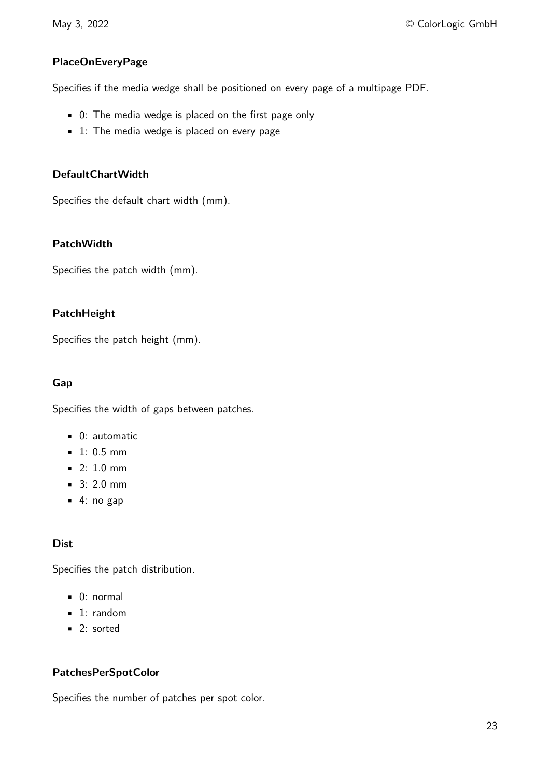# **PlaceOnEveryPage**

Specifies if the media wedge shall be positioned on every page of a multipage PDF.

- 0: The media wedge is placed on the first page only
- 1: The media wedge is placed on every page

### **DefaultChartWidth**

Specifies the default chart width (mm).

### **PatchWidth**

Specifies the patch width (mm).

### **PatchHeight**

Specifies the patch height (mm).

### **Gap**

Specifies the width of gaps between patches.

- 0: automatic
- **1: 0.5 mm**
- 2: 1.0 mm
- 3: 2.0 mm
- $\blacksquare$  4: no gap

### **Dist**

Specifies the patch distribution.

- 0: normal
- 1: random
- 2: sorted

### **PatchesPerSpotColor**

Specifies the number of patches per spot color.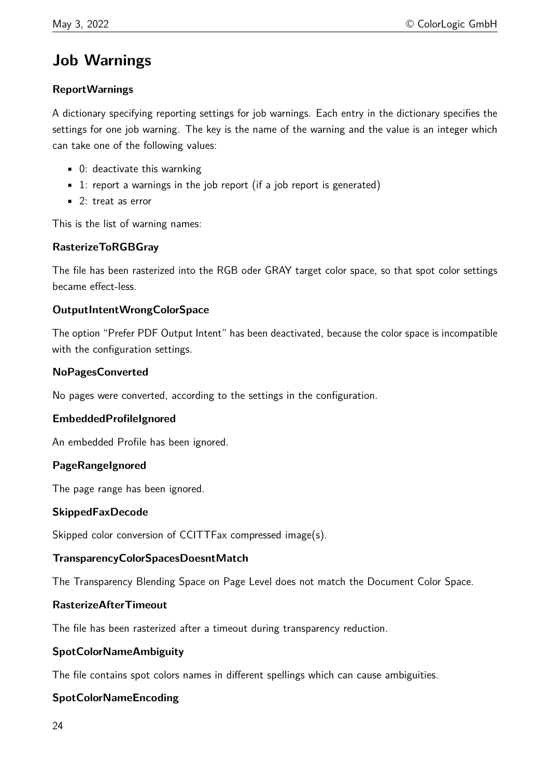# **Job Warnings**

### **ReportWarnings**

A dictionary specifying reporting settings for job warnings. Each entry in the dictionary specifies the settings for one job warning. The key is the name of the warning and the value is an integer which can take one of the following values:

- 0: deactivate this warnking
- $\blacksquare$  1: report a warnings in the job report (if a job report is generated)
- 2: treat as error

This is the list of warning names:

## **RasterizeToRGBGray**

The file has been rasterized into the RGB oder GRAY target color space, so that spot color settings became effect-less.

### **OutputIntentWrongColorSpace**

The option "Prefer PDF Output Intent" has been deactivated, because the color space is incompatible with the configuration settings.

### **NoPagesConverted**

No pages were converted, according to the settings in the configuration.

### **EmbeddedProfileIgnored**

An embedded Profile has been ignored.

### **PageRangeIgnored**

The page range has been ignored.

### **SkippedFaxDecode**

Skipped color conversion of CCITTFax compressed image(s).

### **TransparencyColorSpacesDoesntMatch**

The Transparency Blending Space on Page Level does not match the Document Color Space.

### **RasterizeAfterTimeout**

The file has been rasterized after a timeout during transparency reduction.

### **SpotColorNameAmbiguity**

The file contains spot colors names in different spellings which can cause ambiguities.

### **SpotColorNameEncoding**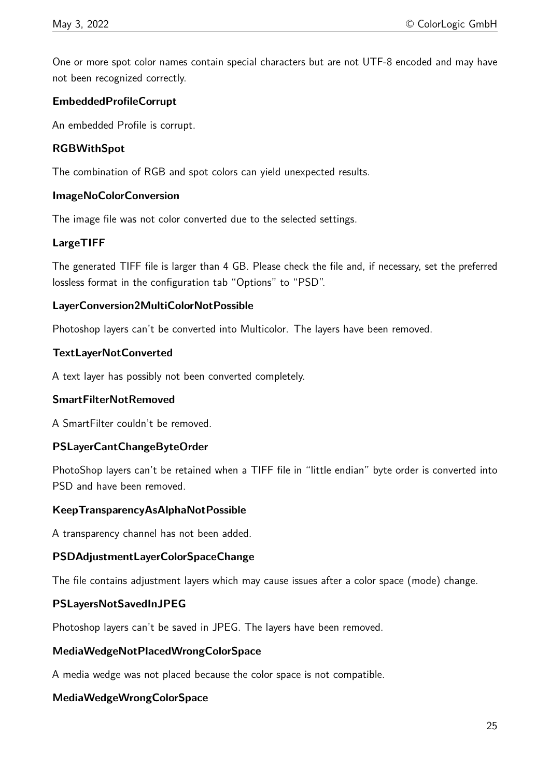One or more spot color names contain special characters but are not UTF-8 encoded and may have not been recognized correctly.

### **EmbeddedProfileCorrupt**

An embedded Profile is corrupt.

### **RGBWithSpot**

The combination of RGB and spot colors can yield unexpected results.

### **ImageNoColorConversion**

The image file was not color converted due to the selected settings.

### **LargeTIFF**

The generated TIFF file is larger than 4 GB. Please check the file and, if necessary, set the preferred lossless format in the configuration tab "Options" to "PSD".

### **LayerConversion2MultiColorNotPossible**

Photoshop layers can't be converted into Multicolor. The layers have been removed.

### **TextLayerNotConverted**

A text layer has possibly not been converted completely.

### **SmartFilterNotRemoved**

A SmartFilter couldn't be removed.

### **PSLayerCantChangeByteOrder**

PhotoShop layers can't be retained when a TIFF file in "little endian" byte order is converted into PSD and have been removed.

### **KeepTransparencyAsAlphaNotPossible**

A transparency channel has not been added.

### **PSDAdjustmentLayerColorSpaceChange**

The file contains adjustment layers which may cause issues after a color space (mode) change.

### **PSLayersNotSavedInJPEG**

Photoshop layers can't be saved in JPEG. The layers have been removed.

### **MediaWedgeNotPlacedWrongColorSpace**

A media wedge was not placed because the color space is not compatible.

### **MediaWedgeWrongColorSpace**